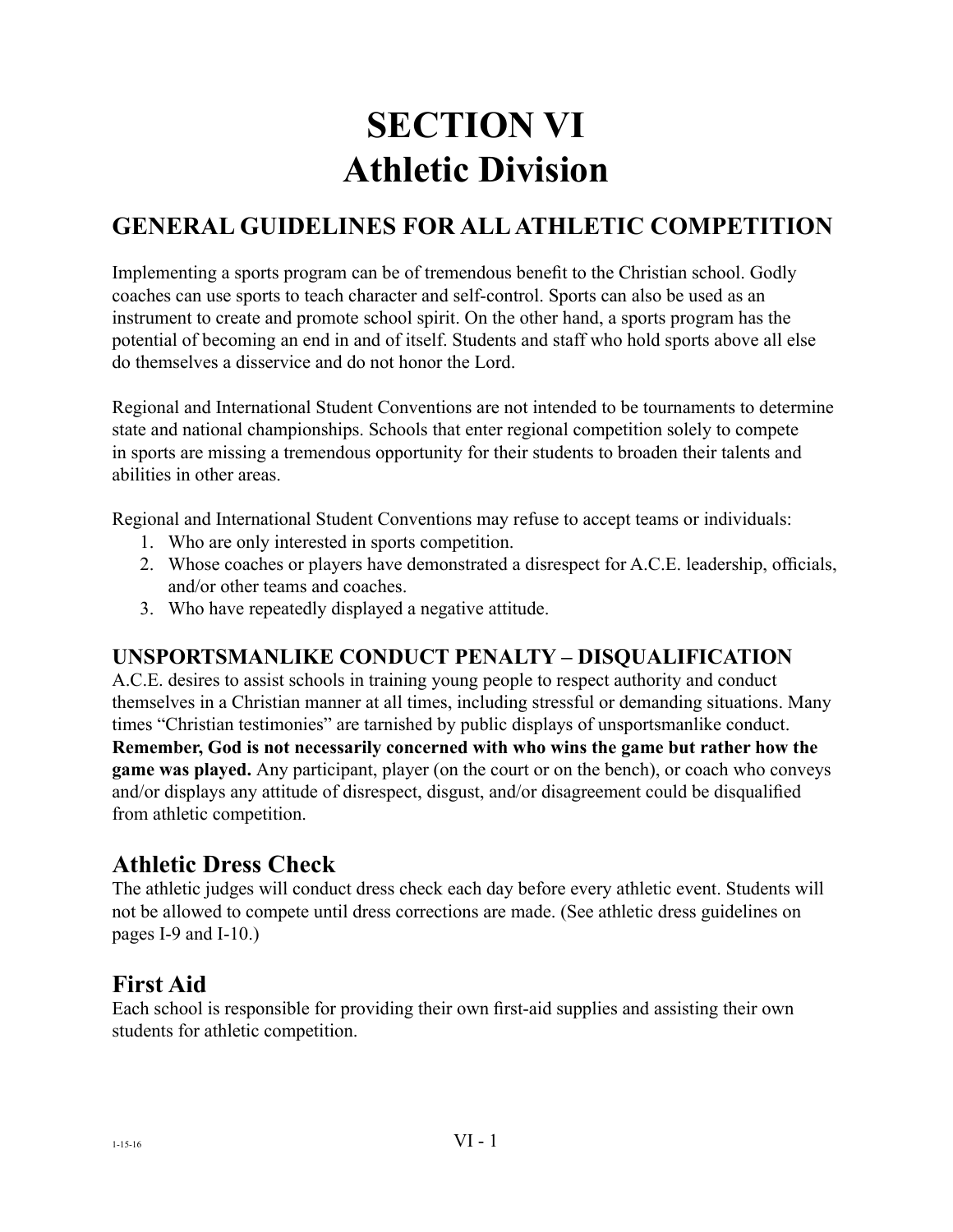# **SECTION VI Athletic Division**

## **GENERAL GUIDELINES FOR ALL ATHLETIC COMPETITION**

Implementing a sports program can be of tremendous benefit to the Christian school. Godly coaches can use sports to teach character and self-control. Sports can also be used as an instrument to create and promote school spirit. On the other hand, a sports program has the potential of becoming an end in and of itself. Students and staff who hold sports above all else do themselves a disservice and do not honor the Lord.

Regional and International Student Conventions are not intended to be tournaments to determine state and national championships. Schools that enter regional competition solely to compete in sports are missing a tremendous opportunity for their students to broaden their talents and abilities in other areas.

Regional and International Student Conventions may refuse to accept teams or individuals:

- 1. Who are only interested in sports competition.
- 2. Whose coaches or players have demonstrated a disrespect for A.C.E. leadership, officials, and/or other teams and coaches.
- 3. Who have repeatedly displayed a negative attitude.

#### **UNSPORTSMANLIKE CONDUCT PENALTY – DISQUALIFICATION**

A.C.E. desires to assist schools in training young people to respect authority and conduct themselves in a Christian manner at all times, including stressful or demanding situations. Many times "Christian testimonies" are tarnished by public displays of unsportsmanlike conduct.

**Remember, God is not necessarily concerned with who wins the game but rather how the game was played.** Any participant, player (on the court or on the bench), or coach who conveys and/or displays any attitude of disrespect, disgust, and/or disagreement could be disqualified from athletic competition.

### **Athletic Dress Check**

The athletic judges will conduct dress check each day before every athletic event. Students will not be allowed to compete until dress corrections are made. (See athletic dress guidelines on pages I-9 and I-10.)

### **First Aid**

Each school is responsible for providing their own first-aid supplies and assisting their own students for athletic competition.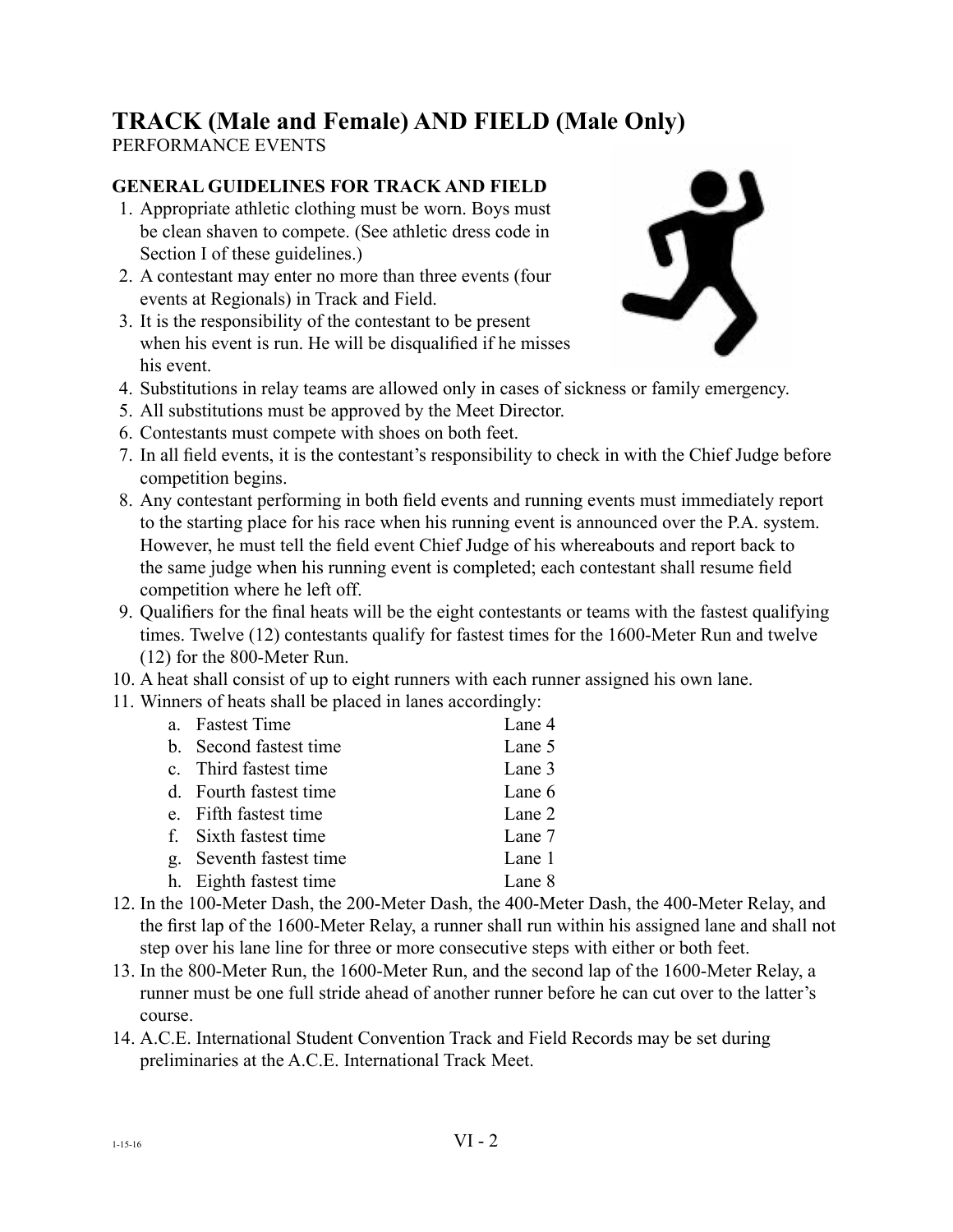# **TRACK (Male and Female) AND FIELD (Male Only)**

PERFORMANCE EVENTS

#### **GENERAL GUIDELINES FOR TRACK AND FIELD**

- 1. Appropriate athletic clothing must be worn. Boys must be clean shaven to compete. (See athletic dress code in Section I of these guidelines.)
- 2. A contestant may enter no more than three events (four events at Regionals) in Track and Field.
- 3. It is the responsibility of the contestant to be present when his event is run. He will be disqualified if he misses his event.



- 4. Substitutions in relay teams are allowed only in cases of sickness or family emergency.
- 5. All substitutions must be approved by the Meet Director.
- 6. Contestants must compete with shoes on both feet.
- 7. In all field events, it is the contestant's responsibility to check in with the Chief Judge before competition begins.
- 8. Any contestant performing in both field events and running events must immediately report to the starting place for his race when his running event is announced over the P.A. system. However, he must tell the field event Chief Judge of his whereabouts and report back to the same judge when his running event is completed; each contestant shall resume field competition where he left off.
- 9. Qualifiers for the final heats will be the eight contestants or teams with the fastest qualifying times. Twelve (12) contestants qualify for fastest times for the 1600-Meter Run and twelve (12) for the 800-Meter Run.
- 10. A heat shall consist of up to eight runners with each runner assigned his own lane.
- 11. Winners of heats shall be placed in lanes accordingly:

| a. Fastest Time         | Lane 4 |
|-------------------------|--------|
| b. Second fastest time  | Lane 5 |
| c. Third fastest time   | Lane 3 |
| d. Fourth fastest time  | Lane 6 |
| e. Fifth fastest time   | Lane 2 |
| f. Sixth fastest time   | Lane 7 |
| g. Seventh fastest time | Lane 1 |
| h. Eighth fastest time  | Lane 8 |
|                         |        |

- 12. In the 100-Meter Dash, the 200-Meter Dash, the 400-Meter Dash, the 400-Meter Relay, and the first lap of the 1600-Meter Relay, a runner shall run within his assigned lane and shall not step over his lane line for three or more consecutive steps with either or both feet.
- 13. In the 800-Meter Run, the 1600-Meter Run, and the second lap of the 1600-Meter Relay, a runner must be one full stride ahead of another runner before he can cut over to the latter's course.
- 14. A.C.E. International Student Convention Track and Field Records may be set during preliminaries at the A.C.E. International Track Meet.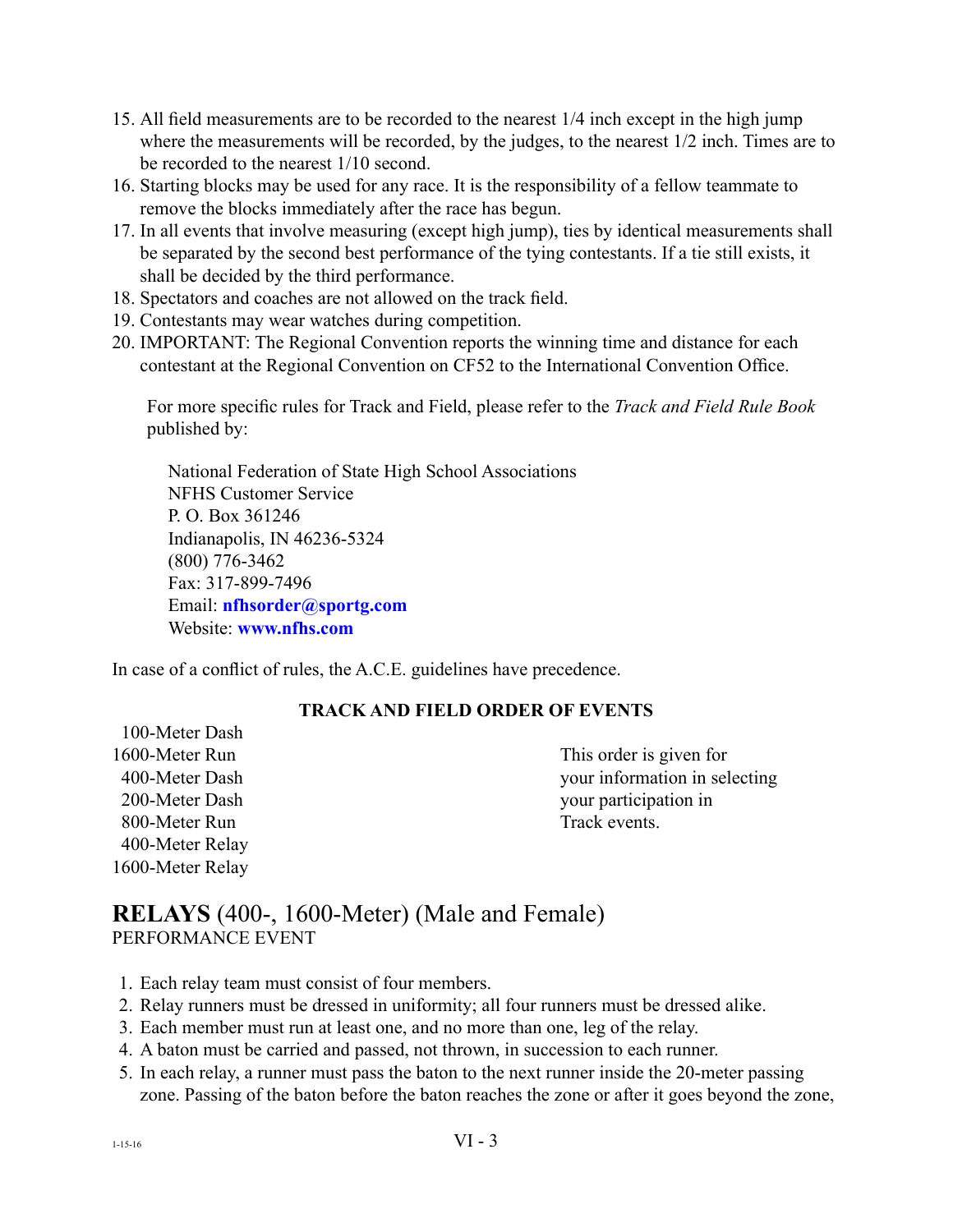- 15. All field measurements are to be recorded to the nearest 1/4 inch except in the high jump where the measurements will be recorded, by the judges, to the nearest 1/2 inch. Times are to be recorded to the nearest 1/10 second.
- 16. Starting blocks may be used for any race. It is the responsibility of a fellow teammate to remove the blocks immediately after the race has begun.
- 17. In all events that involve measuring (except high jump), ties by identical measurements shall be separated by the second best performance of the tying contestants. If a tie still exists, it shall be decided by the third performance.
- 18. Spectators and coaches are not allowed on the track field.
- 19. Contestants may wear watches during competition.
- 20. IMPORTANT: The Regional Convention reports the winning time and distance for each contestant at the Regional Convention on CF52 to the International Convention Office.

For more specific rules for Track and Field, please refer to the *Track and Field Rule Book*  published by:

National Federation of State High School Associations NFHS Customer Service P. O. Box 361246 Indianapolis, IN 46236-5324 (800) 776-3462 Fax: 317-899-7496 Email: **[nfhsorder@sportg.com](mailto:nfhsorder@sportg.com)** Website: **[www.nfhs.com](http://www.nfhs.com/p-1026-2018-track-field-rules-book.aspx)**

In case of a conflict of rules, the A.C.E. guidelines have precedence.

#### **TRACK AND FIELD ORDER OF EVENTS**

 100-Meter Dash 800-Meter Run Track events. 400-Meter Relay 1600-Meter Relay

1600-Meter Run This order is given for 400-Meter Dash your information in selecting 200-Meter Dash your participation in

#### **RELAYS** (400-, 1600-Meter) (Male and Female) PERFORMANCE EVENT

- 1. Each relay team must consist of four members.
- 2. Relay runners must be dressed in uniformity; all four runners must be dressed alike.
- 3. Each member must run at least one, and no more than one, leg of the relay.
- 4. A baton must be carried and passed, not thrown, in succession to each runner.
- 5. In each relay, a runner must pass the baton to the next runner inside the 20-meter passing zone. Passing of the baton before the baton reaches the zone or after it goes beyond the zone,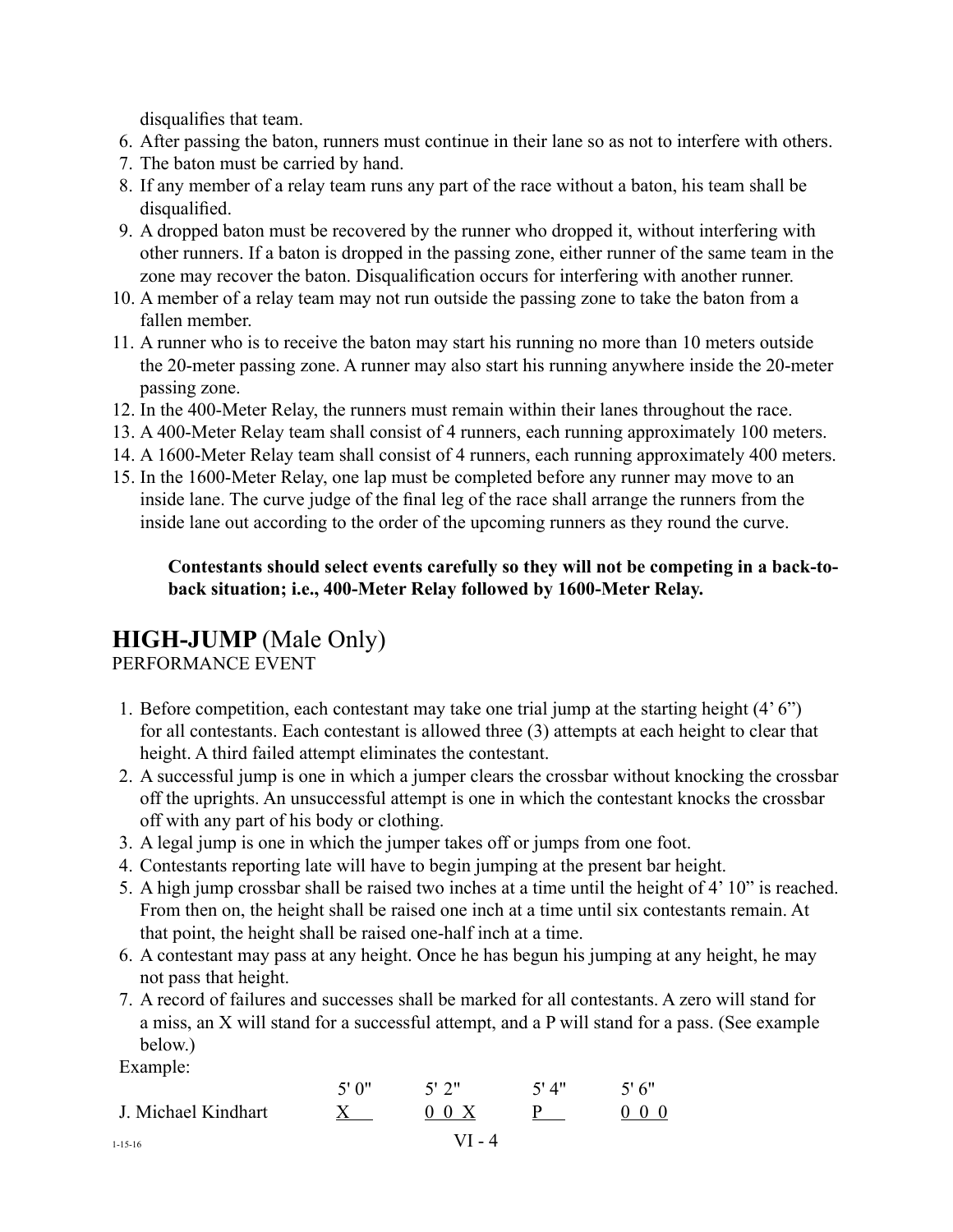disqualifies that team.

- 6. After passing the baton, runners must continue in their lane so as not to interfere with others.
- 7. The baton must be carried by hand.
- 8. If any member of a relay team runs any part of the race without a baton, his team shall be disqualified.
- 9. A dropped baton must be recovered by the runner who dropped it, without interfering with other runners. If a baton is dropped in the passing zone, either runner of the same team in the zone may recover the baton. Disqualification occurs for interfering with another runner.
- 10. A member of a relay team may not run outside the passing zone to take the baton from a fallen member.
- 11. A runner who is to receive the baton may start his running no more than 10 meters outside the 20-meter passing zone. A runner may also start his running anywhere inside the 20-meter passing zone.
- 12. In the 400-Meter Relay, the runners must remain within their lanes throughout the race.
- 13. A 400-Meter Relay team shall consist of 4 runners, each running approximately 100 meters.
- 14. A 1600-Meter Relay team shall consist of 4 runners, each running approximately 400 meters.
- 15. In the 1600-Meter Relay, one lap must be completed before any runner may move to an inside lane. The curve judge of the final leg of the race shall arrange the runners from the inside lane out according to the order of the upcoming runners as they round the curve.

#### **Contestants should select events carefully so they will not be competing in a back-toback situation; i.e., 400-Meter Relay followed by 1600-Meter Relay.**

### **HIGH-JUMP** (Male Only)

PERFORMANCE EVENT

- 1. Before competition, each contestant may take one trial jump at the starting height (4' 6") for all contestants. Each contestant is allowed three (3) attempts at each height to clear that height. A third failed attempt eliminates the contestant.
- 2. A successful jump is one in which a jumper clears the crossbar without knocking the crossbar off the uprights. An unsuccessful attempt is one in which the contestant knocks the crossbar off with any part of his body or clothing.
- 3. A legal jump is one in which the jumper takes off or jumps from one foot.
- 4. Contestants reporting late will have to begin jumping at the present bar height.
- 5. A high jump crossbar shall be raised two inches at a time until the height of 4' 10" is reached. From then on, the height shall be raised one inch at a time until six contestants remain. At that point, the height shall be raised one-half inch at a time.
- 6. A contestant may pass at any height. Once he has begun his jumping at any height, he may not pass that height.
- 7. A record of failures and successes shall be marked for all contestants. A zero will stand for a miss, an X will stand for a successful attempt, and a P will stand for a pass. (See example below.)

Example:

|                     | 5'0''  | 5'2"      | 5'4" | 5'6''       |
|---------------------|--------|-----------|------|-------------|
| J. Michael Kindhart |        | $0 \t0 X$ |      | $0 \t0 \t0$ |
| $1 - 15 - 16$       | VI - 4 |           |      |             |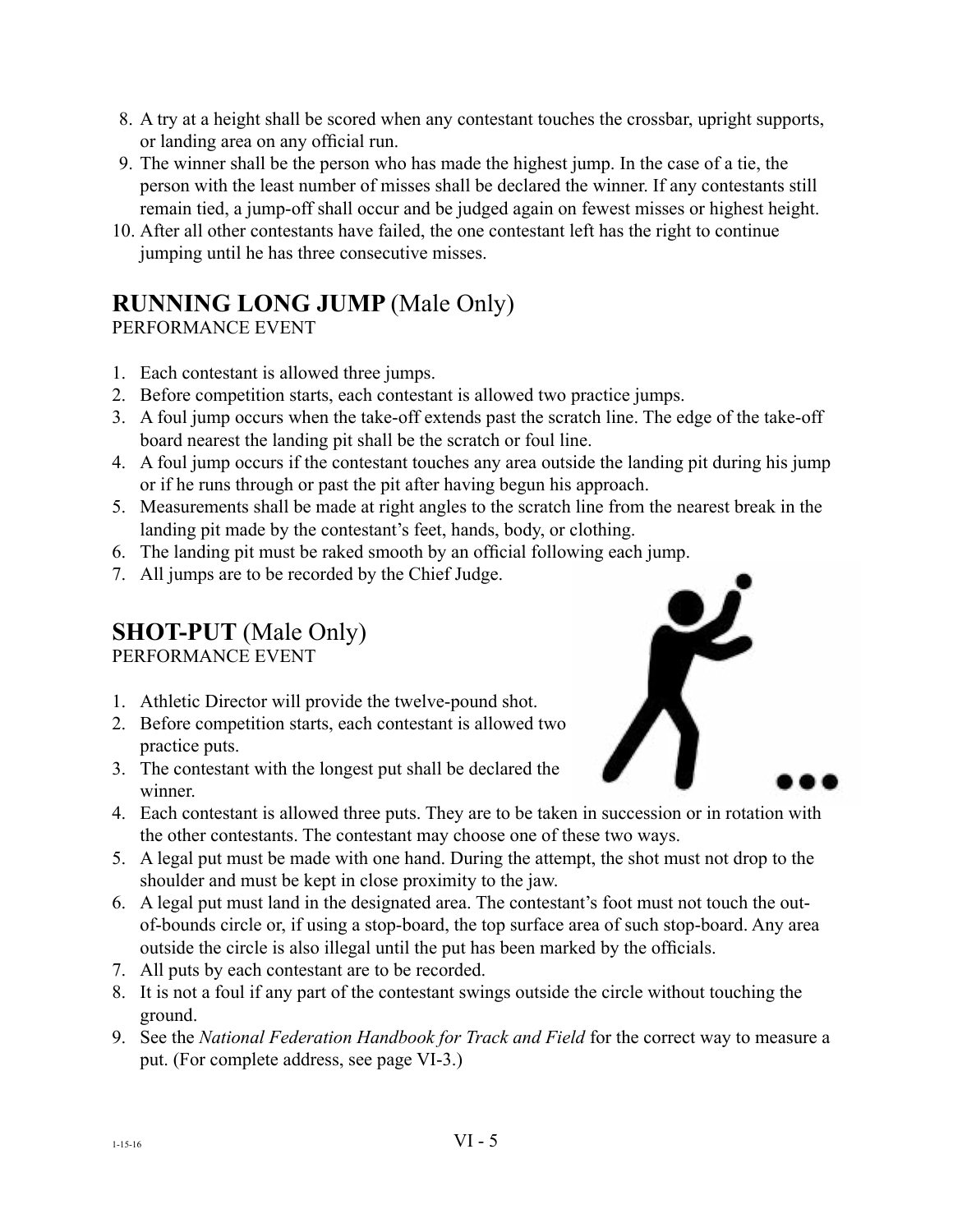- 8. A try at a height shall be scored when any contestant touches the crossbar, upright supports, or landing area on any official run.
- 9. The winner shall be the person who has made the highest jump. In the case of a tie, the person with the least number of misses shall be declared the winner. If any contestants still remain tied, a jump-off shall occur and be judged again on fewest misses or highest height.
- 10. After all other contestants have failed, the one contestant left has the right to continue jumping until he has three consecutive misses.

# **RUNNING LONG JUMP** (Male Only)

PERFORMANCE EVENT

- 1. Each contestant is allowed three jumps.
- 2. Before competition starts, each contestant is allowed two practice jumps.
- 3. A foul jump occurs when the take-off extends past the scratch line. The edge of the take-off board nearest the landing pit shall be the scratch or foul line.
- 4. A foul jump occurs if the contestant touches any area outside the landing pit during his jump or if he runs through or past the pit after having begun his approach.
- 5. Measurements shall be made at right angles to the scratch line from the nearest break in the landing pit made by the contestant's feet, hands, body, or clothing.
- 6. The landing pit must be raked smooth by an official following each jump.
- 7. All jumps are to be recorded by the Chief Judge.

## **SHOT-PUT** (Male Only)

PERFORMANCE EVENT

- 1. Athletic Director will provide the twelve-pound shot.
- 2. Before competition starts, each contestant is allowed two practice puts.
- 3. The contestant with the longest put shall be declared the winner.



- 4. Each contestant is allowed three puts. They are to be taken in succession or in rotation with the other contestants. The contestant may choose one of these two ways.
- 5. A legal put must be made with one hand. During the attempt, the shot must not drop to the shoulder and must be kept in close proximity to the jaw.
- 6. A legal put must land in the designated area. The contestant's foot must not touch the outof-bounds circle or, if using a stop-board, the top surface area of such stop-board. Any area outside the circle is also illegal until the put has been marked by the officials.
- 7. All puts by each contestant are to be recorded.
- 8. It is not a foul if any part of the contestant swings outside the circle without touching the ground.
- 9. See the *National Federation Handbook for Track and Field* for the correct way to measure a put. (For complete address, see page VI-3.)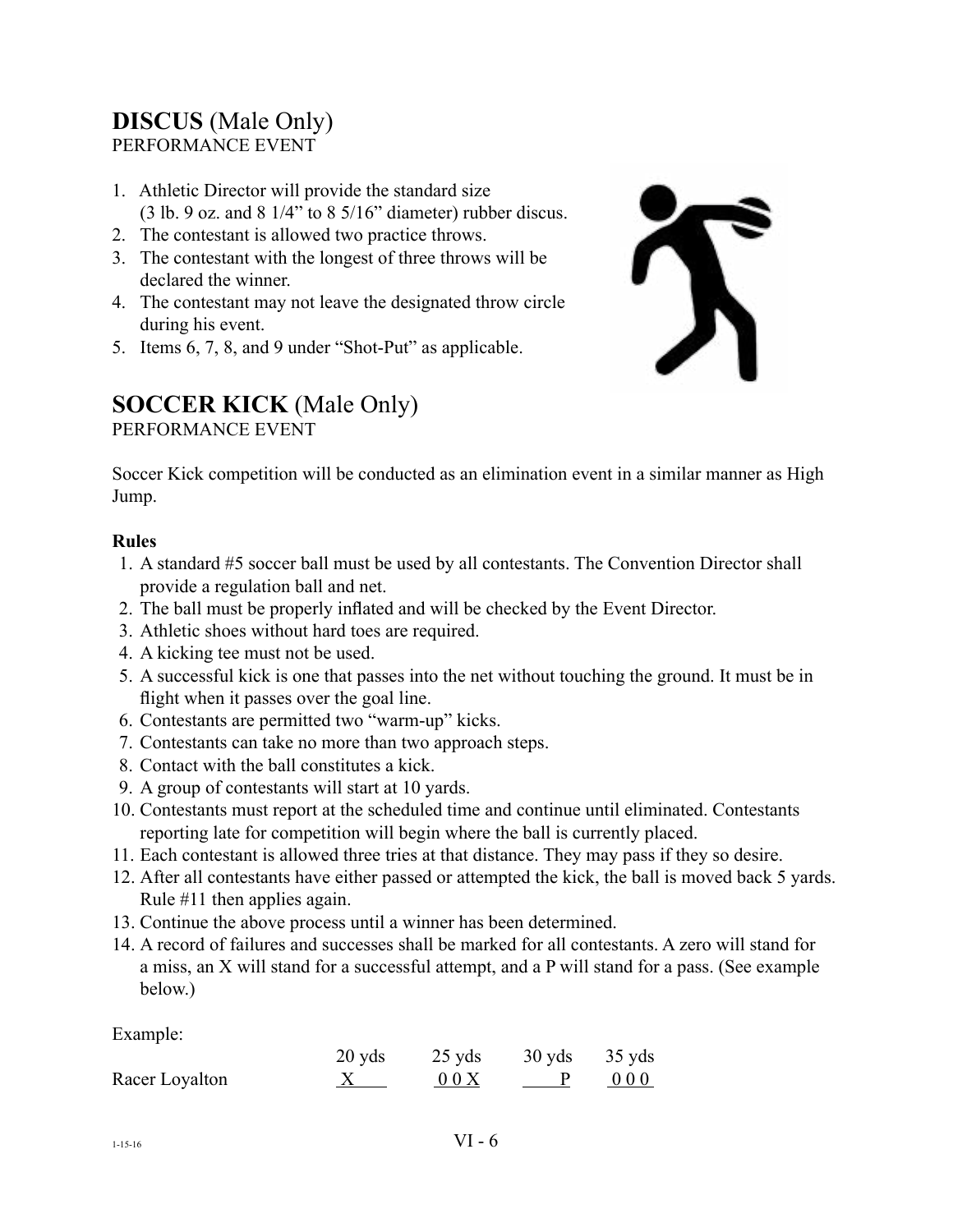## **DISCUS** (Male Only)

PERFORMANCE EVENT

- 1. Athletic Director will provide the standard size (3 lb. 9 oz. and 8 1/4" to 8 5/16" diameter) rubber discus.
- 2. The contestant is allowed two practice throws.
- 3. The contestant with the longest of three throws will be declared the winner.
- 4. The contestant may not leave the designated throw circle during his event.
- 5. Items 6, 7, 8, and 9 under "Shot-Put" as applicable.



# **SOCCER KICK** (Male Only)

PERFORMANCE EVENT

Soccer Kick competition will be conducted as an elimination event in a similar manner as High Jump.

#### **Rules**

- 1. A standard #5 soccer ball must be used by all contestants. The Convention Director shall provide a regulation ball and net.
- 2. The ball must be properly inflated and will be checked by the Event Director.
- 3. Athletic shoes without hard toes are required.
- 4. A kicking tee must not be used.
- 5. A successful kick is one that passes into the net without touching the ground. It must be in flight when it passes over the goal line.
- 6. Contestants are permitted two "warm-up" kicks.
- 7. Contestants can take no more than two approach steps.
- 8. Contact with the ball constitutes a kick.
- 9. A group of contestants will start at 10 yards.
- 10. Contestants must report at the scheduled time and continue until eliminated. Contestants reporting late for competition will begin where the ball is currently placed.
- 11. Each contestant is allowed three tries at that distance. They may pass if they so desire.
- 12. After all contestants have either passed or attempted the kick, the ball is moved back 5 yards. Rule #11 then applies again.
- 13. Continue the above process until a winner has been determined.
- 14. A record of failures and successes shall be marked for all contestants. A zero will stand for a miss, an X will stand for a successful attempt, and a P will stand for a pass. (See example below.)

Example:

|                | $20$ yds | $25$ yds | $30 \text{ yds}$ $35 \text{ yds}$ |
|----------------|----------|----------|-----------------------------------|
| Racer Loyalton |          | 00X      | 000                               |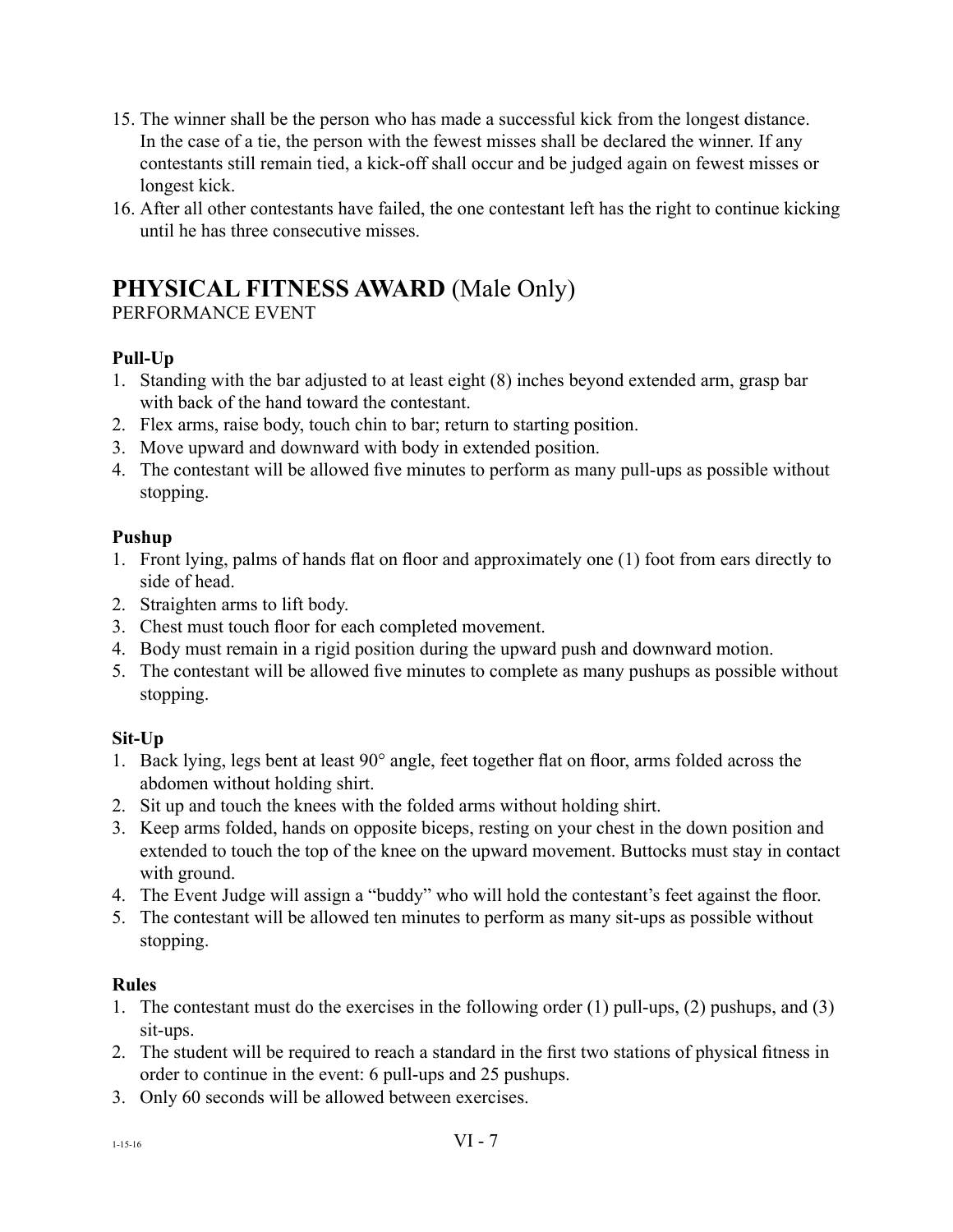- 15. The winner shall be the person who has made a successful kick from the longest distance. In the case of a tie, the person with the fewest misses shall be declared the winner. If any contestants still remain tied, a kick-off shall occur and be judged again on fewest misses or longest kick.
- 16. After all other contestants have failed, the one contestant left has the right to continue kicking until he has three consecutive misses.

### **PHYSICAL FITNESS AWARD** (Male Only)

PERFORMANCE EVENT

#### **Pull-Up**

- 1. Standing with the bar adjusted to at least eight (8) inches beyond extended arm, grasp bar with back of the hand toward the contestant.
- 2. Flex arms, raise body, touch chin to bar; return to starting position.
- 3. Move upward and downward with body in extended position.
- 4. The contestant will be allowed five minutes to perform as many pull-ups as possible without stopping.

#### **Pushup**

- 1. Front lying, palms of hands flat on floor and approximately one (1) foot from ears directly to side of head.
- 2. Straighten arms to lift body.
- 3. Chest must touch floor for each completed movement.
- 4. Body must remain in a rigid position during the upward push and downward motion.
- 5. The contestant will be allowed five minutes to complete as many pushups as possible without stopping.

#### **Sit-Up**

- 1. Back lying, legs bent at least 90° angle, feet together flat on floor, arms folded across the abdomen without holding shirt.
- 2. Sit up and touch the knees with the folded arms without holding shirt.
- 3. Keep arms folded, hands on opposite biceps, resting on your chest in the down position and extended to touch the top of the knee on the upward movement. Buttocks must stay in contact with ground.
- 4. The Event Judge will assign a "buddy" who will hold the contestant's feet against the floor.
- 5. The contestant will be allowed ten minutes to perform as many sit-ups as possible without stopping.

#### **Rules**

- 1. The contestant must do the exercises in the following order (1) pull-ups, (2) pushups, and (3) sit-ups.
- 2. The student will be required to reach a standard in the first two stations of physical fitness in order to continue in the event: 6 pull-ups and 25 pushups.
- 3. Only 60 seconds will be allowed between exercises.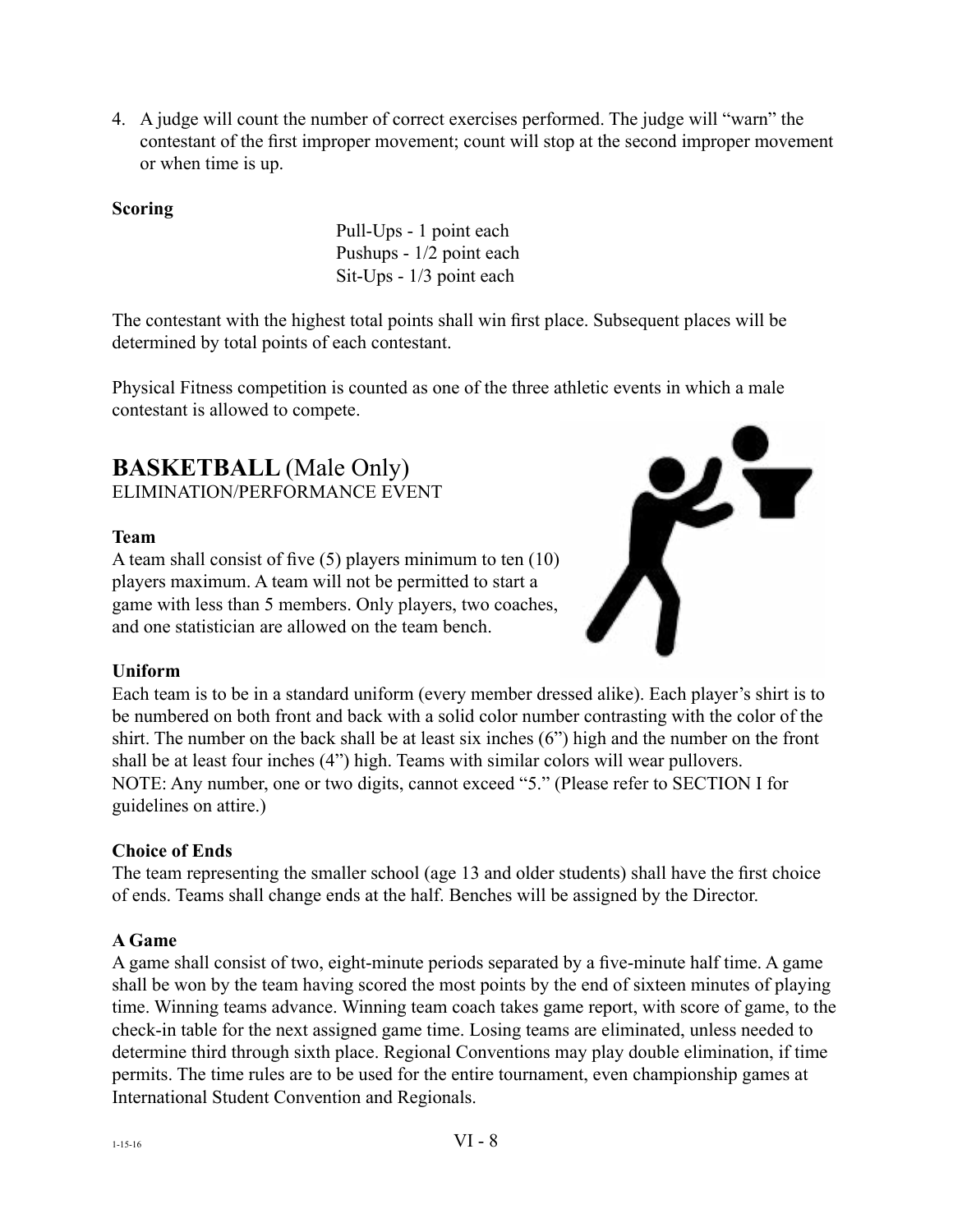4. A judge will count the number of correct exercises performed. The judge will "warn" the contestant of the first improper movement; count will stop at the second improper movement or when time is up.

#### **Scoring**

Pull-Ups - 1 point each Pushups - 1/2 point each Sit-Ups - 1/3 point each

The contestant with the highest total points shall win first place. Subsequent places will be determined by total points of each contestant.

Physical Fitness competition is counted as one of the three athletic events in which a male contestant is allowed to compete.

#### **BASKETBALL** (Male Only) ELIMINATION/PERFORMANCE EVENT

#### **Team**

A team shall consist of five (5) players minimum to ten (10) players maximum. A team will not be permitted to start a game with less than 5 members. Only players, two coaches, and one statistician are allowed on the team bench.



#### **Uniform**

Each team is to be in a standard uniform (every member dressed alike). Each player's shirt is to be numbered on both front and back with a solid color number contrasting with the color of the shirt. The number on the back shall be at least six inches (6") high and the number on the front shall be at least four inches (4") high. Teams with similar colors will wear pullovers. NOTE: Any number, one or two digits, cannot exceed "5." (Please refer to SECTION I for guidelines on attire.)

#### **Choice of Ends**

The team representing the smaller school (age 13 and older students) shall have the first choice of ends. Teams shall change ends at the half. Benches will be assigned by the Director.

#### **A Game**

A game shall consist of two, eight-minute periods separated by a five-minute half time. A game shall be won by the team having scored the most points by the end of sixteen minutes of playing time. Winning teams advance. Winning team coach takes game report, with score of game, to the check-in table for the next assigned game time. Losing teams are eliminated, unless needed to determine third through sixth place. Regional Conventions may play double elimination, if time permits. The time rules are to be used for the entire tournament, even championship games at International Student Convention and Regionals.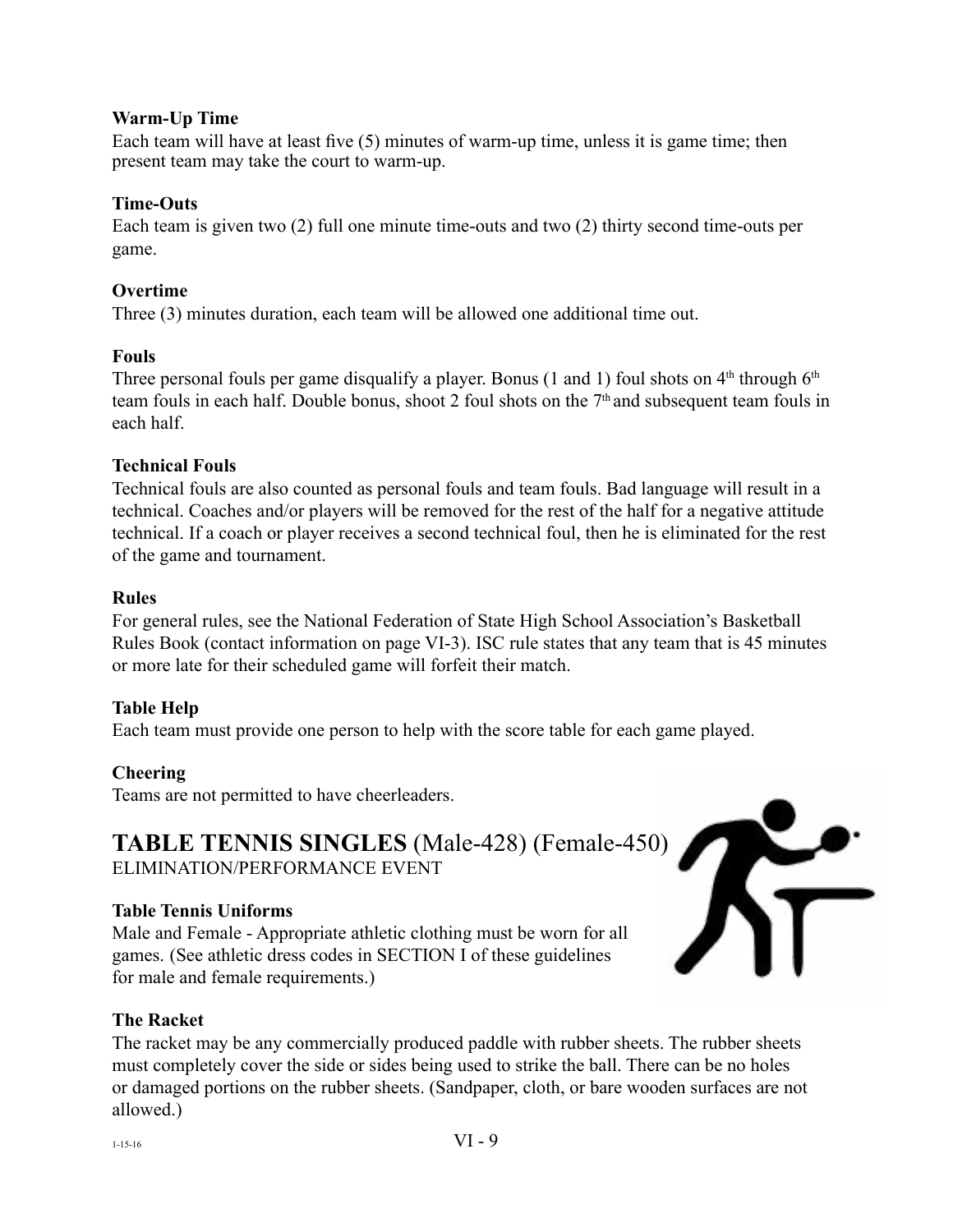#### **Warm-Up Time**

Each team will have at least five (5) minutes of warm-up time, unless it is game time; then present team may take the court to warm-up.

#### **Time-Outs**

Each team is given two (2) full one minute time-outs and two (2) thirty second time-outs per game.

#### **Overtime**

Three (3) minutes duration, each team will be allowed one additional time out.

#### **Fouls**

Three personal fouls per game disqualify a player. Bonus (1 and 1) foul shots on  $4<sup>th</sup>$  through  $6<sup>th</sup>$ team fouls in each half. Double bonus, shoot 2 foul shots on the 7th and subsequent team fouls in each half.

#### **Technical Fouls**

Technical fouls are also counted as personal fouls and team fouls. Bad language will result in a technical. Coaches and/or players will be removed for the rest of the half for a negative attitude technical. If a coach or player receives a second technical foul, then he is eliminated for the rest of the game and tournament.

#### **Rules**

For general rules, see the National Federation of State High School Association's Basketball Rules Book (contact information on page VI-3). ISC rule states that any team that is 45 minutes or more late for their scheduled game will forfeit their match.

#### **Table Help**

Each team must provide one person to help with the score table for each game played.

#### **Cheering**

Teams are not permitted to have cheerleaders.

# **TABLE TENNIS SINGLES** (Male-428) (Female-450)

ELIMINATION/PERFORMANCE EVENT

#### **Table Tennis Uniforms**

Male and Female - Appropriate athletic clothing must be worn for all games. (See athletic dress codes in SECTION I of these guidelines for male and female requirements.)



#### **The Racket**

The racket may be any commercially produced paddle with rubber sheets. The rubber sheets must completely cover the side or sides being used to strike the ball. There can be no holes or damaged portions on the rubber sheets. (Sandpaper, cloth, or bare wooden surfaces are not allowed.)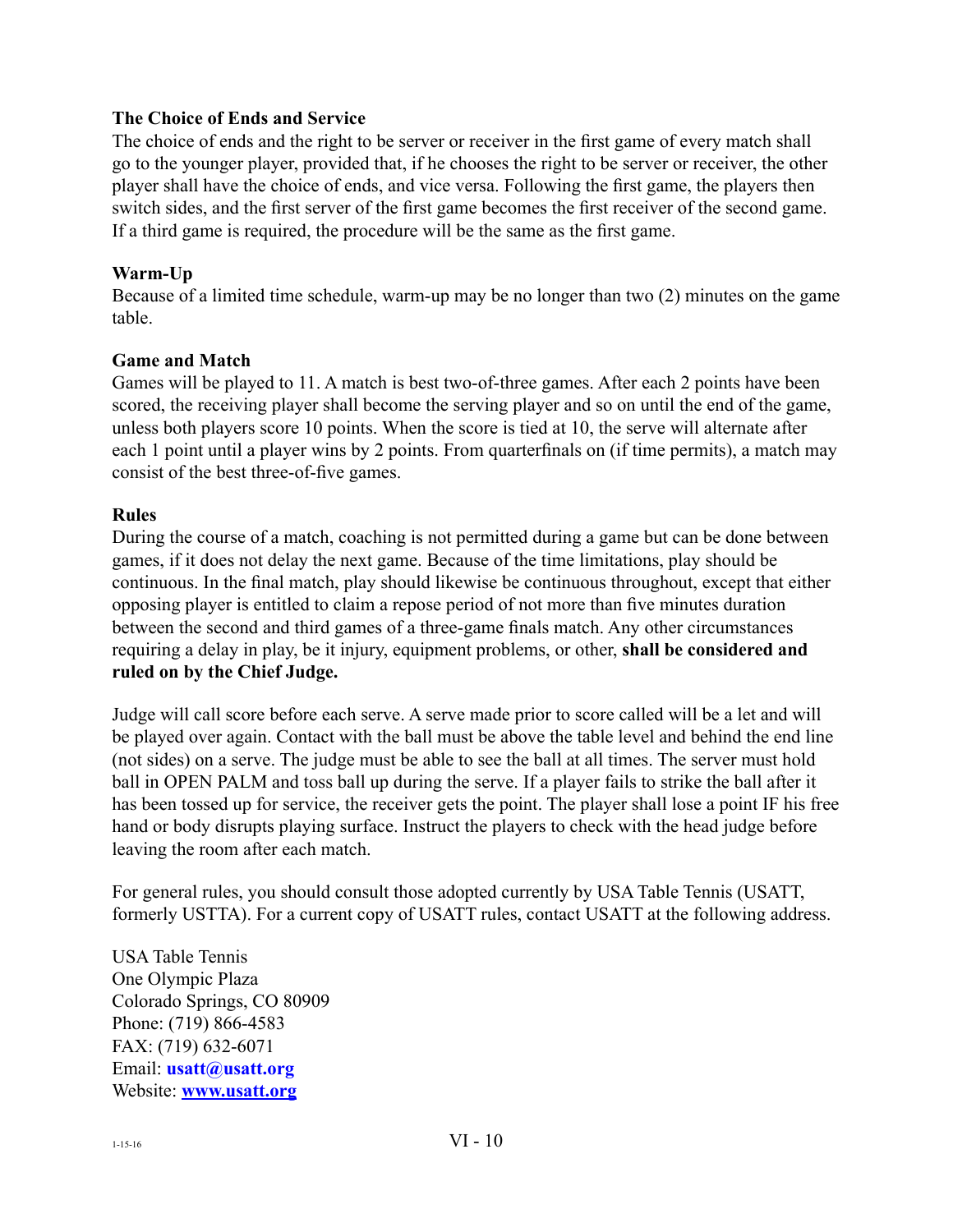#### **The Choice of Ends and Service**

The choice of ends and the right to be server or receiver in the first game of every match shall go to the younger player, provided that, if he chooses the right to be server or receiver, the other player shall have the choice of ends, and vice versa. Following the first game, the players then switch sides, and the first server of the first game becomes the first receiver of the second game. If a third game is required, the procedure will be the same as the first game.

#### **Warm-Up**

Because of a limited time schedule, warm-up may be no longer than two (2) minutes on the game table.

#### **Game and Match**

Games will be played to 11. A match is best two-of-three games. After each 2 points have been scored, the receiving player shall become the serving player and so on until the end of the game, unless both players score 10 points. When the score is tied at 10, the serve will alternate after each 1 point until a player wins by 2 points. From quarterfinals on (if time permits), a match may consist of the best three-of-five games.

#### **Rules**

During the course of a match, coaching is not permitted during a game but can be done between games, if it does not delay the next game. Because of the time limitations, play should be continuous. In the final match, play should likewise be continuous throughout, except that either opposing player is entitled to claim a repose period of not more than five minutes duration between the second and third games of a three-game finals match. Any other circumstances requiring a delay in play, be it injury, equipment problems, or other, **shall be considered and ruled on by the Chief Judge.**

Judge will call score before each serve. A serve made prior to score called will be a let and will be played over again. Contact with the ball must be above the table level and behind the end line (not sides) on a serve. The judge must be able to see the ball at all times. The server must hold ball in OPEN PALM and toss ball up during the serve. If a player fails to strike the ball after it has been tossed up for service, the receiver gets the point. The player shall lose a point IF his free hand or body disrupts playing surface. Instruct the players to check with the head judge before leaving the room after each match.

For general rules, you should consult those adopted currently by USA Table Tennis (USATT, formerly USTTA). For a current copy of USATT rules, contact USATT at the following address.

USA Table Tennis One Olympic Plaza Colorado Springs, CO 80909 Phone: (719) 866-4583 FAX: (719) 632-6071 Email: **[usatt@usatt.org](mailto:usatt@usatt.org)** Website: **[www.usatt.org](http://www.usatt.org)**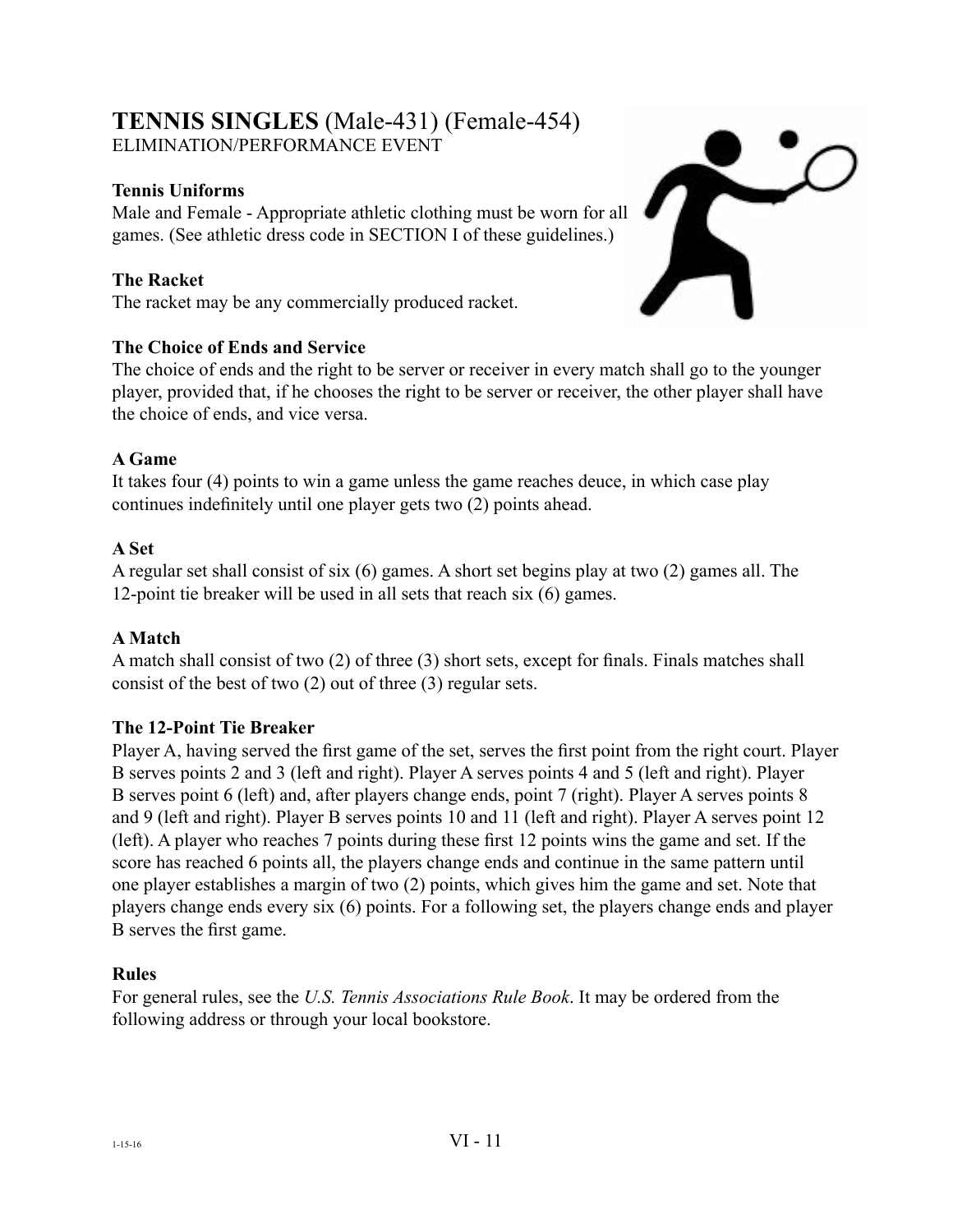#### **TENNIS SINGLES** (Male-431) (Female-454) ELIMINATION/PERFORMANCE EVENT

#### **Tennis Uniforms**

Male and Female - Appropriate athletic clothing must be worn for all games. (See athletic dress code in SECTION I of these guidelines.)

#### **The Racket**

The racket may be any commercially produced racket.

#### **The Choice of Ends and Service**

The choice of ends and the right to be server or receiver in every match shall go to the younger player, provided that, if he chooses the right to be server or receiver, the other player shall have the choice of ends, and vice versa.

#### **A Game**

It takes four (4) points to win a game unless the game reaches deuce, in which case play continues indefinitely until one player gets two (2) points ahead.

#### **A Set**

A regular set shall consist of six (6) games. A short set begins play at two (2) games all. The 12-point tie breaker will be used in all sets that reach six (6) games.

#### **A Match**

A match shall consist of two (2) of three (3) short sets, except for finals. Finals matches shall consist of the best of two (2) out of three (3) regular sets.

#### **The 12-Point Tie Breaker**

Player A, having served the first game of the set, serves the first point from the right court. Player B serves points 2 and 3 (left and right). Player A serves points 4 and 5 (left and right). Player B serves point 6 (left) and, after players change ends, point 7 (right). Player A serves points 8 and 9 (left and right). Player B serves points 10 and 11 (left and right). Player A serves point 12 (left). A player who reaches 7 points during these first 12 points wins the game and set. If the score has reached 6 points all, the players change ends and continue in the same pattern until one player establishes a margin of two (2) points, which gives him the game and set. Note that players change ends every six (6) points. For a following set, the players change ends and player B serves the first game.

#### **Rules**

For general rules, see the *U.S. Tennis Associations Rule Book*. It may be ordered from the following address or through your local bookstore.

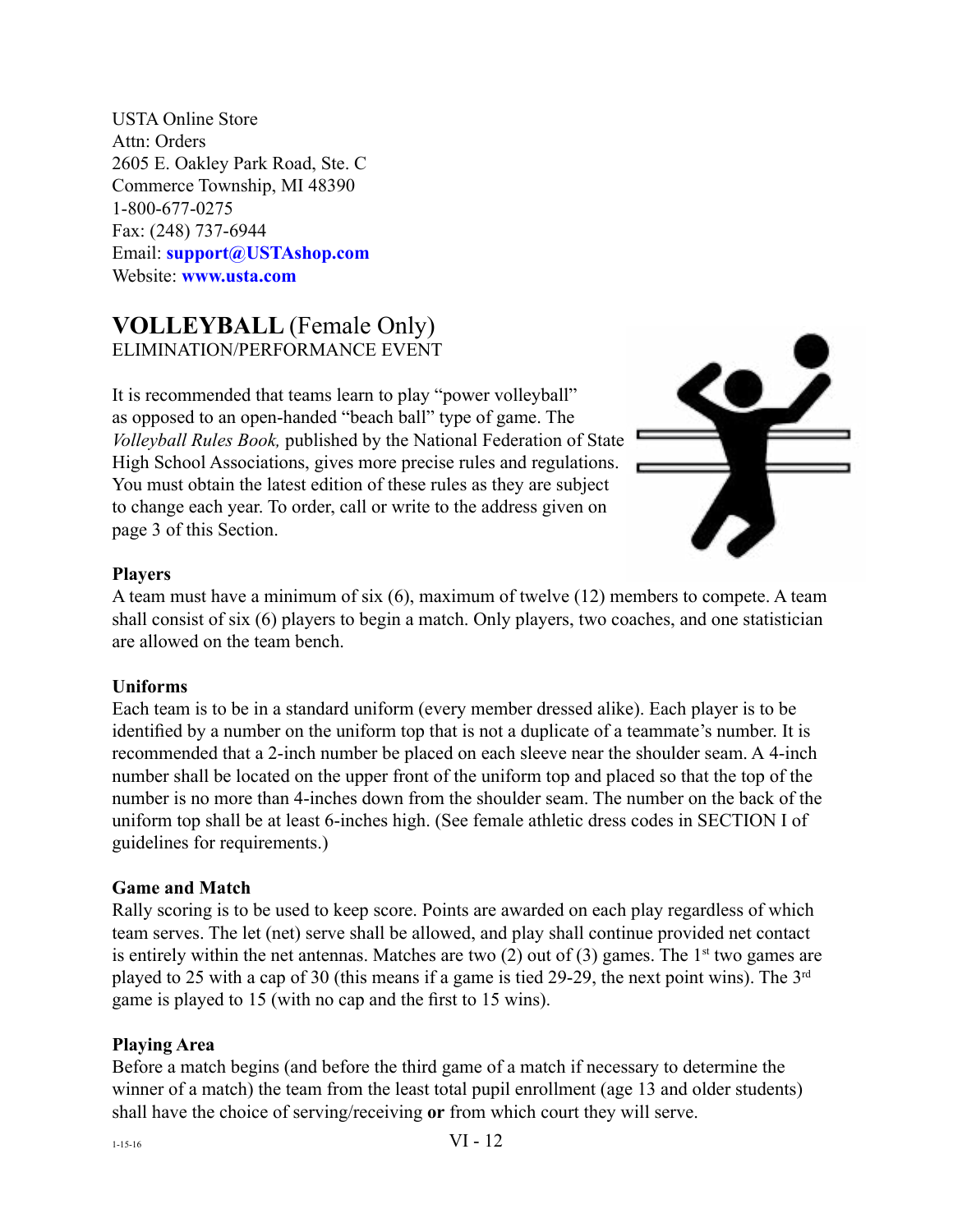USTA Online Store Attn: Orders 2605 E. Oakley Park Road, Ste. C Commerce Township, MI 48390 1-800-677-0275 Fax: (248) 737-6944 Email: **[support@USTAshop.com](mailto:support@ustashop.com)** Website: **[www.usta.com](http://www.usta.com)**

#### **VOLLEYBALL** (Female Only) ELIMINATION/PERFORMANCE EVENT

It is recommended that teams learn to play "power volleyball" as opposed to an open-handed "beach ball" type of game. The *Volleyball Rules Book,* published by the National Federation of State High School Associations, gives more precise rules and regulations. You must obtain the latest edition of these rules as they are subject to change each year. To order, call or write to the address given on page 3 of this Section.



#### **Players**

A team must have a minimum of six (6), maximum of twelve (12) members to compete. A team shall consist of six (6) players to begin a match. Only players, two coaches, and one statistician are allowed on the team bench.

#### **Uniforms**

Each team is to be in a standard uniform (every member dressed alike). Each player is to be identified by a number on the uniform top that is not a duplicate of a teammate's number. It is recommended that a 2-inch number be placed on each sleeve near the shoulder seam. A 4-inch number shall be located on the upper front of the uniform top and placed so that the top of the number is no more than 4-inches down from the shoulder seam. The number on the back of the uniform top shall be at least 6-inches high. (See female athletic dress codes in SECTION I of guidelines for requirements.)

#### **Game and Match**

Rally scoring is to be used to keep score. Points are awarded on each play regardless of which team serves. The let (net) serve shall be allowed, and play shall continue provided net contact is entirely within the net antennas. Matches are two  $(2)$  out of  $(3)$  games. The 1<sup>st</sup> two games are played to 25 with a cap of 30 (this means if a game is tied 29-29, the next point wins). The 3rd game is played to 15 (with no cap and the first to 15 wins).

#### **Playing Area**

Before a match begins (and before the third game of a match if necessary to determine the winner of a match) the team from the least total pupil enrollment (age 13 and older students) shall have the choice of serving/receiving **or** from which court they will serve.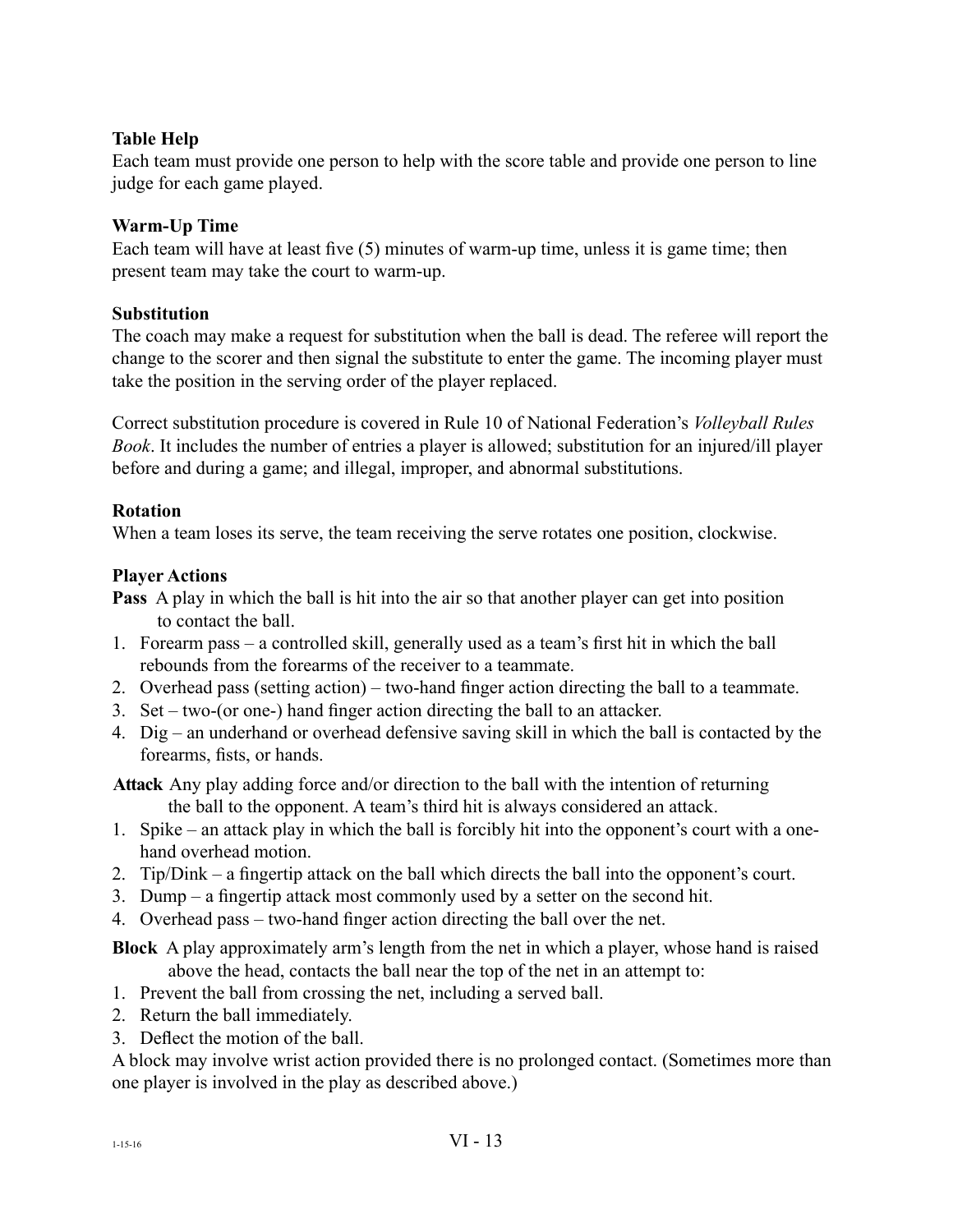#### **Table Help**

Each team must provide one person to help with the score table and provide one person to line judge for each game played.

#### **Warm-Up Time**

Each team will have at least five (5) minutes of warm-up time, unless it is game time; then present team may take the court to warm-up.

#### **Substitution**

The coach may make a request for substitution when the ball is dead. The referee will report the change to the scorer and then signal the substitute to enter the game. The incoming player must take the position in the serving order of the player replaced.

Correct substitution procedure is covered in Rule 10 of National Federation's *Volleyball Rules Book*. It includes the number of entries a player is allowed; substitution for an injured/ill player before and during a game; and illegal, improper, and abnormal substitutions.

#### **Rotation**

When a team loses its serve, the team receiving the serve rotates one position, clockwise.

#### **Player Actions**

**Pass** A play in which the ball is hit into the air so that another player can get into position to contact the ball.

- 1. Forearm pass a controlled skill, generally used as a team's first hit in which the ball rebounds from the forearms of the receiver to a teammate.
- 2. Overhead pass (setting action) two-hand finger action directing the ball to a teammate.
- 3. Set two-(or one-) hand finger action directing the ball to an attacker.
- 4. Dig an underhand or overhead defensive saving skill in which the ball is contacted by the forearms, fists, or hands.

**Attack** Any play adding force and/or direction to the ball with the intention of returning the ball to the opponent. A team's third hit is always considered an attack.

- 1. Spike an attack play in which the ball is forcibly hit into the opponent's court with a onehand overhead motion.
- 2. Tip/Dink a fingertip attack on the ball which directs the ball into the opponent's court.
- 3. Dump a fingertip attack most commonly used by a setter on the second hit.
- 4. Overhead pass two-hand finger action directing the ball over the net.

**Block** A play approximately arm's length from the net in which a player, whose hand is raised above the head, contacts the ball near the top of the net in an attempt to:

- 1. Prevent the ball from crossing the net, including a served ball.
- 2. Return the ball immediately.
- 3. Deflect the motion of the ball.

A block may involve wrist action provided there is no prolonged contact. (Sometimes more than one player is involved in the play as described above.)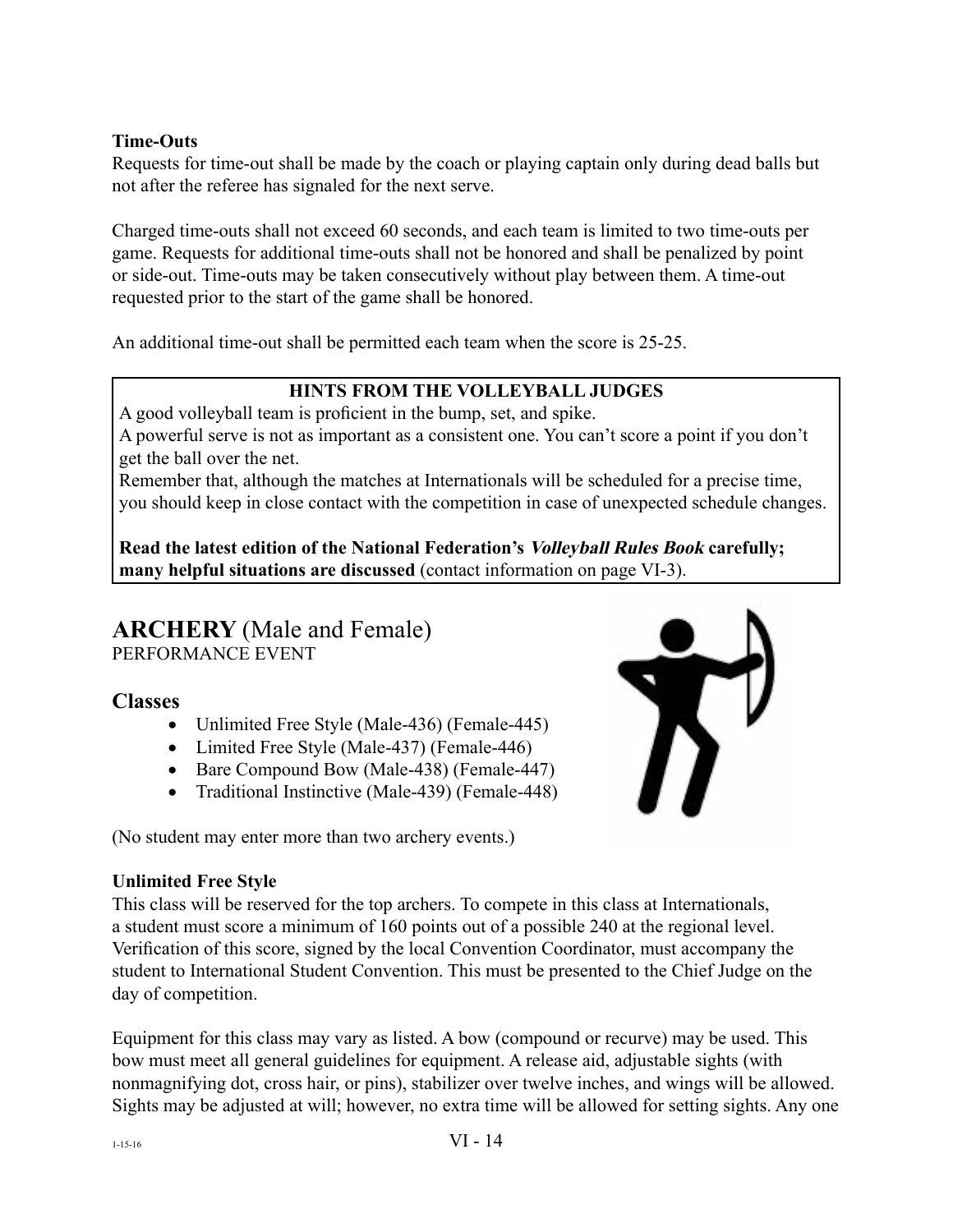#### **Time-Outs**

Requests for time-out shall be made by the coach or playing captain only during dead balls but not after the referee has signaled for the next serve.

Charged time-outs shall not exceed 60 seconds, and each team is limited to two time-outs per game. Requests for additional time-outs shall not be honored and shall be penalized by point or side-out. Time-outs may be taken consecutively without play between them. A time-out requested prior to the start of the game shall be honored.

An additional time-out shall be permitted each team when the score is 25-25.

#### **HINTS FROM THE VOLLEYBALL JUDGES**

A good volleyball team is proficient in the bump, set, and spike.

A powerful serve is not as important as a consistent one. You can't score a point if you don't get the ball over the net.

Remember that, although the matches at Internationals will be scheduled for a precise time, you should keep in close contact with the competition in case of unexpected schedule changes.

**Read the latest edition of the National Federation's Volleyball Rules Book carefully; many helpful situations are discussed** (contact information on page VI-3).

# **ARCHERY** (Male and Female)

PERFORMANCE EVENT

#### **Classes**

- Unlimited Free Style (Male-436) (Female-445)
- Limited Free Style (Male-437) (Female-446)
- Bare Compound Bow (Male-438) (Female-447)
- Traditional Instinctive (Male-439) (Female-448)

(No student may enter more than two archery events.)



#### **Unlimited Free Style**

This class will be reserved for the top archers. To compete in this class at Internationals, a student must score a minimum of 160 points out of a possible 240 at the regional level. Verification of this score, signed by the local Convention Coordinator, must accompany the student to International Student Convention. This must be presented to the Chief Judge on the day of competition.

Equipment for this class may vary as listed. A bow (compound or recurve) may be used. This bow must meet all general guidelines for equipment. A release aid, adjustable sights (with nonmagnifying dot, cross hair, or pins), stabilizer over twelve inches, and wings will be allowed. Sights may be adjusted at will; however, no extra time will be allowed for setting sights. Any one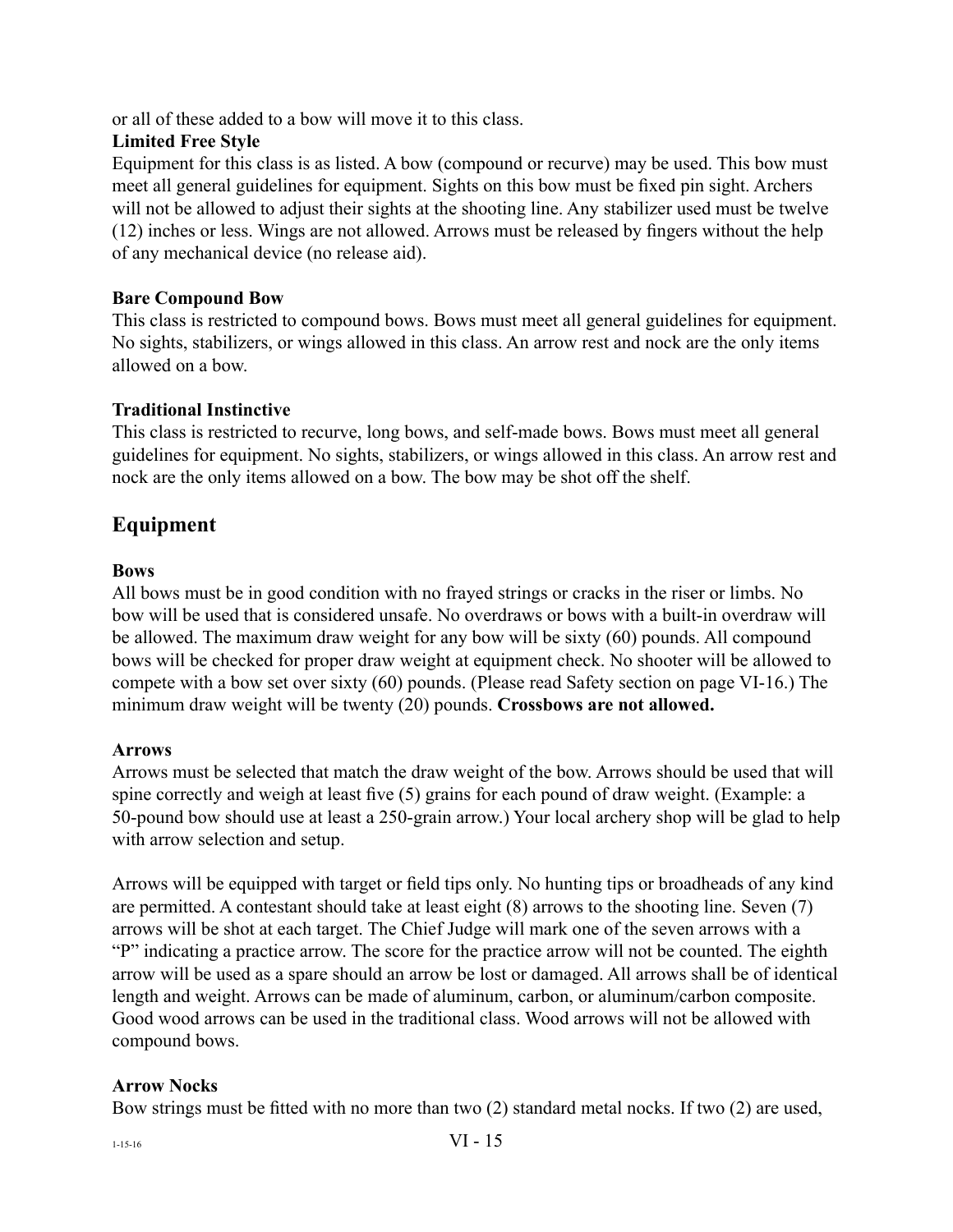or all of these added to a bow will move it to this class.

#### **Limited Free Style**

Equipment for this class is as listed. A bow (compound or recurve) may be used. This bow must meet all general guidelines for equipment. Sights on this bow must be fixed pin sight. Archers will not be allowed to adjust their sights at the shooting line. Any stabilizer used must be twelve (12) inches or less. Wings are not allowed. Arrows must be released by fingers without the help of any mechanical device (no release aid).

#### **Bare Compound Bow**

This class is restricted to compound bows. Bows must meet all general guidelines for equipment. No sights, stabilizers, or wings allowed in this class. An arrow rest and nock are the only items allowed on a bow.

#### **Traditional Instinctive**

This class is restricted to recurve, long bows, and self-made bows. Bows must meet all general guidelines for equipment. No sights, stabilizers, or wings allowed in this class. An arrow rest and nock are the only items allowed on a bow. The bow may be shot off the shelf.

### **Equipment**

#### **Bows**

All bows must be in good condition with no frayed strings or cracks in the riser or limbs. No bow will be used that is considered unsafe. No overdraws or bows with a built-in overdraw will be allowed. The maximum draw weight for any bow will be sixty (60) pounds. All compound bows will be checked for proper draw weight at equipment check. No shooter will be allowed to compete with a bow set over sixty (60) pounds. (Please read Safety section on page VI-16.) The minimum draw weight will be twenty (20) pounds. **Crossbows are not allowed.**

#### **Arrows**

Arrows must be selected that match the draw weight of the bow. Arrows should be used that will spine correctly and weigh at least five (5) grains for each pound of draw weight. (Example: a 50-pound bow should use at least a 250-grain arrow.) Your local archery shop will be glad to help with arrow selection and setup.

Arrows will be equipped with target or field tips only. No hunting tips or broadheads of any kind are permitted. A contestant should take at least eight (8) arrows to the shooting line. Seven (7) arrows will be shot at each target. The Chief Judge will mark one of the seven arrows with a "P" indicating a practice arrow. The score for the practice arrow will not be counted. The eighth arrow will be used as a spare should an arrow be lost or damaged. All arrows shall be of identical length and weight. Arrows can be made of aluminum, carbon, or aluminum/carbon composite. Good wood arrows can be used in the traditional class. Wood arrows will not be allowed with compound bows.

#### **Arrow Nocks**

Bow strings must be fitted with no more than two (2) standard metal nocks. If two (2) are used,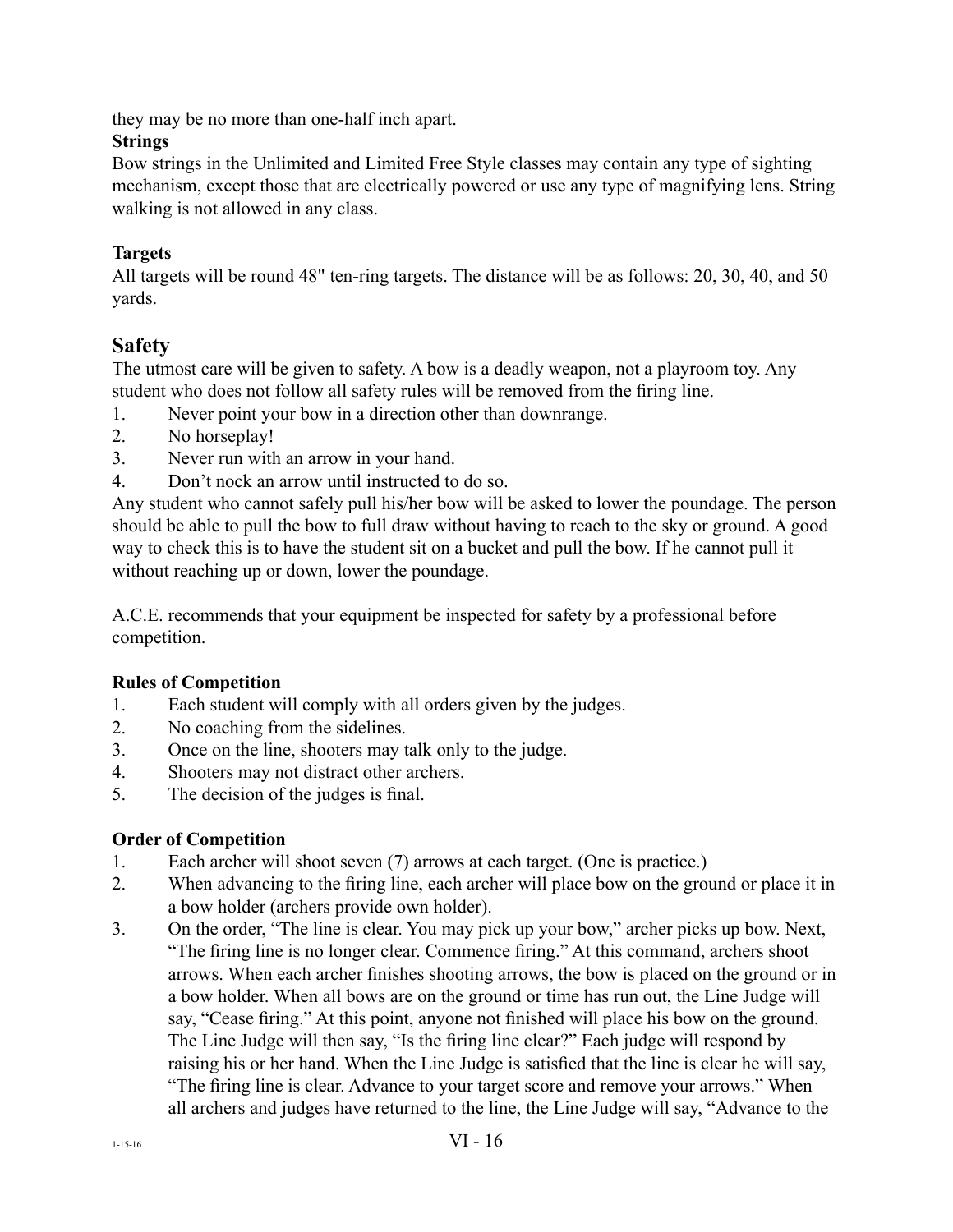they may be no more than one-half inch apart.

#### **Strings**

Bow strings in the Unlimited and Limited Free Style classes may contain any type of sighting mechanism, except those that are electrically powered or use any type of magnifying lens. String walking is not allowed in any class.

#### **Targets**

All targets will be round 48" ten-ring targets. The distance will be as follows: 20, 30, 40, and 50 yards.

#### **Safety**

The utmost care will be given to safety. A bow is a deadly weapon, not a playroom toy. Any student who does not follow all safety rules will be removed from the firing line.

- 1. Never point your bow in a direction other than downrange.
- 2. No horseplay!
- 3. Never run with an arrow in your hand.
- 4. Don't nock an arrow until instructed to do so.

Any student who cannot safely pull his/her bow will be asked to lower the poundage. The person should be able to pull the bow to full draw without having to reach to the sky or ground. A good way to check this is to have the student sit on a bucket and pull the bow. If he cannot pull it without reaching up or down, lower the poundage.

A.C.E. recommends that your equipment be inspected for safety by a professional before competition.

#### **Rules of Competition**

- 1. Each student will comply with all orders given by the judges.
- 2. No coaching from the sidelines.
- 3. Once on the line, shooters may talk only to the judge.
- 4. Shooters may not distract other archers.
- 5. The decision of the judges is final.

#### **Order of Competition**

- 1. Each archer will shoot seven (7) arrows at each target. (One is practice.)
- 2. When advancing to the firing line, each archer will place bow on the ground or place it in a bow holder (archers provide own holder).
- 3. On the order, "The line is clear. You may pick up your bow," archer picks up bow. Next, "The firing line is no longer clear. Commence firing." At this command, archers shoot arrows. When each archer finishes shooting arrows, the bow is placed on the ground or in a bow holder. When all bows are on the ground or time has run out, the Line Judge will say, "Cease firing." At this point, anyone not finished will place his bow on the ground. The Line Judge will then say, "Is the firing line clear?" Each judge will respond by raising his or her hand. When the Line Judge is satisfied that the line is clear he will say, "The firing line is clear. Advance to your target score and remove your arrows." When all archers and judges have returned to the line, the Line Judge will say, "Advance to the